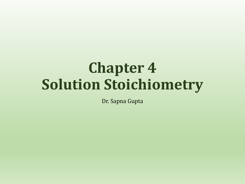# **Chapter 4 Solution Stoichiometry**

Dr. Sapna Gupta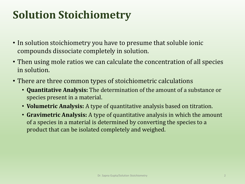## **Solution Stoichiometry**

- In solution stoichiometry you have to presume that soluble ionic compounds dissociate completely in solution.
- Then using mole ratios we can calculate the concentration of all species in solution.
- There are three common types of stoichiometric calculations
	- **Quantitative Analysis:** The determination of the amount of a substance or species present in a material.
	- **Volumetric Analysis:** A type of quantitative analysis based on titration.
	- **Gravimetric Analysis:** A type of quantitative analysis in which the amount of a species in a material is determined by converting the species to a product that can be isolated completely and weighed.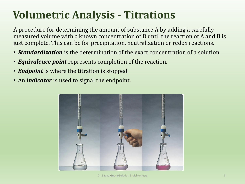## **Volumetric Analysis - Titrations**

A procedure for determining the amount of substance A by adding a carefully measured volume with a known concentration of B until the reaction of A and B is just complete. This can be for precipitation, neutralization or redox reactions.

- *Standardization* is the determination of the exact concentration of a solution.
- *Equivalence point* represents completion of the reaction.
- *Endpoint* is where the titration is stopped.
- An *indicator* is used to signal the endpoint.

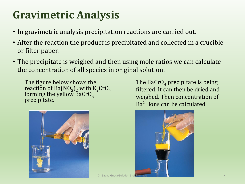### **Gravimetric Analysis**

- In gravimetric analysis precipitation reactions are carried out.
- After the reaction the product is precipitated and collected in a crucible or filter paper.
- The precipitate is weighed and then using mole ratios we can calculate the concentration of all species in original solution.

The figure below shows the reaction of Ba $(NO_3)_2$  with K<sub>2</sub>CrO<sub>4</sub> forming the yellow  $\bar{\texttt{B}}$ aCrO $_4$ precipitate.



The BaCrO<sub>4</sub> precipitate is being filtered. It can then be dried and weighed. Then concentration of Ba2+ ions can be calculated

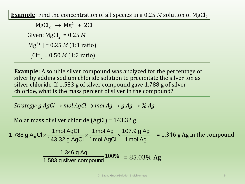**Example**: Find the concentration of all species in a 0.25  $M$  solution of MgCl<sub>2</sub>

 $MgCl_2 \rightarrow Mg^{2+} + 2Cl^-$ Given:  $MgCl_2 = 0.25 M$ [Mg2+ ] = 0.25 *M* (1:1 ratio) [Cl<sup>−</sup> ] = 0.50 *M* (1:2 ratio)

**Example**: A soluble silver compound was analyzed for the percentage of silver by adding sodium chloride solution to precipitate the silver ion as silver chloride. If 1.583 g of silver compound gave 1.788 g of silver chloride, what is the mass percent of silver in the compound?

*Strategy: g AgCl*  $\rightarrow$  *mol AgCl*  $\rightarrow$  *mol Ag*  $\rightarrow$  *g Ag*  $\rightarrow$  % Ag

Molar mass of silver chloride (AgCl) = 143.32 g

Molar mass of silver chloride (AgCl) = 143.32 g<br>1.788 g AgCl ×  $\frac{1 \text{ mol AgCl}}{143.32 \text{ g AgCl}} \times \frac{1 \text{ mol Ag}}{1 \text{ mol AgCl}} \times \frac{107.9 \text{ g Ag}}{1 \text{ mol Ag}}$  $\frac{1 \text{ mol AgCl}}{143.32 \text{ g AgCl}} \times \frac{1 \text{ mol Ag}}{1 \text{ mol AgCl}} \times \frac{107.9 \text{ g A}}{1 \text{ mol Ag}}$ s of silver chloride (AgCl) = 143.32 g<br>  $\times \frac{1 \text{ mol AgCl}}{143.32 \text{ g AaCl}} \times \frac{1 \text{ mol Ag}}{1 \text{ mol AgCl}} \times \frac{107.9 \text{ g}}{1 \text{ mol } A}$ = 1.346 g Ag in the compound

> 100% 1.583 g silver compound 1.346 g Ag  $= 85.03\%$  Ag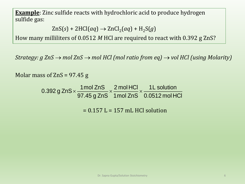**Example**: Zinc sulfide reacts with hydrochloric acid to produce hydrogen sulfide gas:

 $ZnS(s) + 2HCl(aq) \rightarrow ZnCl<sub>2</sub>(aq) + H<sub>2</sub>S(g)$ 

How many milliliters of 0.0512 *M* HCl are required to react with 0.392 g ZnS?

*Strategy: g ZnS* → *mol ZnS* → *mol HCl (mol ratio from eq)* → *vol HCl (using Molarity)*

Molar mass of  $ZnS = 97.45 g$ 

ss of ZnS = 97.45 g<br>0.392 g ZnS  $\times$   $\frac{1 \text{ mol ZnS}}{97.45 \text{ g ZnS}} \times \frac{2 \text{ mol HCl}}{1 \text{ mol ZnS}} \times \frac{1 \text{ L solution}}{0.0512 \text{ mol H}}$  $\frac{1 \text{ mol ZnS}}{97.45 \text{ g ZnS}} \times \frac{2 \text{ mol HCl}}{1 \text{ mol ZnS}} \times \frac{1 \text{L solution}}{0.0512 \text{ mol HCl}}$  $7.45$  g $\times \frac{1 \text{mol ZnS}}{97.45 \text{ g} \times 7 \text{nS}} \times \frac{2 \text{mol HCl}}{1 \text{mol ZnS}} \times \frac{1 \text{L sol}}{0.0512 \text{m}}$ 

 $= 0.157$  L  $= 157$  mL HCl solution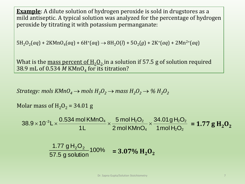**Example**: A dilute solution of hydrogen peroxide is sold in drugstores as a mild antiseptic. A typical solution was analyzed for the percentage of hydrogen peroxide by titrating it with potassium permanganate:

 $5H_2O_2(aq) + 2KMnO_4(aq) + 6H^+(aq) \rightarrow 8H_2O(l) + 5O_2(g) + 2K^+(aq) + 2Mn^{2+}(aq)$ 

What is the <u>mass percent of H<sub>2</sub>O<sub>2</sub> in a solution if 57.5 g of solution required</u> 38.9 mL of  $0.534$  *M* KMnO<sub>4</sub> for its titration?

*Strategy:* mols  $KMnO<sub>A</sub> \rightarrow mols H<sub>2</sub>O<sub>2</sub> \rightarrow mass H<sub>2</sub>O<sub>2</sub> \rightarrow % H<sub>2</sub>O<sub>2</sub>$ 

Molar mass of  $H_2O_2 = 34.01$  g

 $\frac{3}{10}\times$  0.534 mol KMnO<sub>4  $\times$ </sub> 5 mol H<sub>2</sub>O<sub>2</sub>  $\times$  34.01 g H<sub>2</sub>O<sub>2</sub>  $_{4}$   $\times$   $\frac{34.01 \text{ g H}_2\text{C}}{1 \text{ mol H}_2\text{O}_2}$ olar mass of H<sub>2</sub>O<sub>2</sub> = 34.01 g<br>38.9 × 10<sup>-3</sup>L ×  $\frac{0.534 \text{ mol KMnO}_4}{1 \text{ L}}$  ×  $\frac{5 \text{ mol H}_2\text{O}_2}{2 \text{ mol KMnO}_4}$  ×  $\frac{34.01 \text{ g H}_2\text{O}}{1 \text{ mol H}_2\text{O}_2}$  $\frac{1}{100}$  MMnO<sub>4</sub>  $\times$   $\frac{5}{2}$  mol H<sub>2</sub>O<sub>2</sub>  $\times$   $\frac{34.01gH_2G}{100}$ <br> $\frac{1}{2}$  mol KMnO<sub>4</sub>  $\times$   $\frac{34.01gH_2G}{1000}$ − mass of H<sub>2</sub>O<sub>2</sub> = 34.01 g<br> $\times$  10<sup>-3</sup>L  $\times$   $\frac{0.534 \text{ mol K MnO}_4}{1 \text{ L}} \times \frac{5 \text{ mol H}_2\text{O}_2}{2 \text{ mol K MnO}_4} \times \frac{34.01 g \text{ H}_2\text{O}_2}{1 \text{ mol H}_2\text{O}_2} = 1.77 g \text{ H}_2\text{O}_2$ 100% 57.5 g solution 1.77  $gH_2O_2$  $= 3.07\% \text{ H}_2\text{O}_2$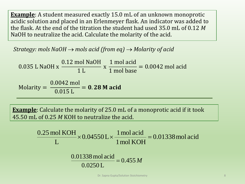**Example**: A student measured exactly 15.0 mL of an unknown monoprotic acidic solution and placed in an Erlenmeyer flask. An indicator was added to the flask. At the end of the titration the student had used 35.0 mL of 0.12 *M*  NaOH to neutralize the acid. Calculate the molarity of the acid.

*Strategy: mols NaOH* → *mols acid (from eq)* → *Molarity of acid*

0.035 L NaOH x 0.12 mol NaOH 1 L x 1 mol acid 1 mol base = 0.0042 mol acid

Molarity = 0.0042 mol 0.015 L  $= 0.28$  M acid

**Example**: Calculate the molarity of 25.0 mL of a monoprotic acid if it took 45.50 mL of 0.25 *M* KOH to neutralize the acid.

$$
\frac{0.25 \text{ mol KOH}}{L} \times 0.04550 \text{ L} \times \frac{1 \text{ mol acid}}{1 \text{ mol KOH}} = 0.01338 \text{ mol acid}
$$

$$
\frac{0.01338 \text{ mol acid}}{0.0250 \text{ L}} = 0.455 M
$$